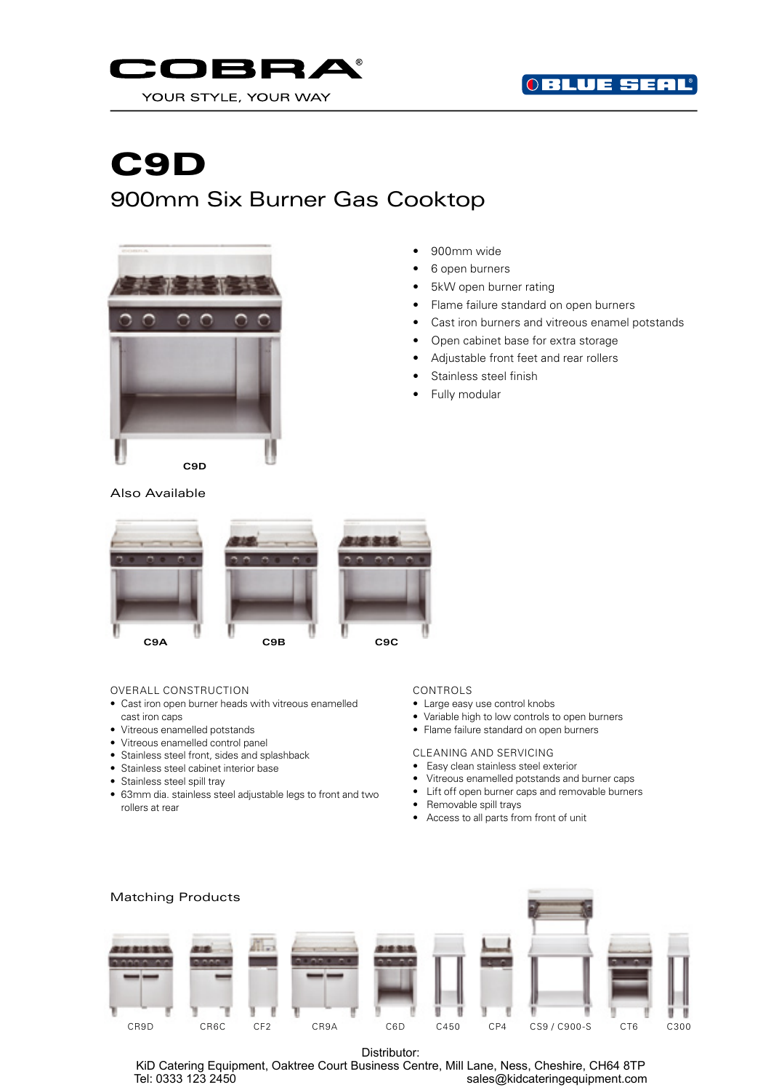



# C9D 900mm Six Burner Gas Cooktop



- 900mm wide
- 6 open burners
- 5kW open burner rating
- Flame failure standard on open burners
- Cast iron burners and vitreous enamel potstands
- Open cabinet base for extra storage
- Adjustable front feet and rear rollers
- Stainless steel finish
- Fully modular

## Also Available



### OVERALL CONSTRUCTION

- Cast iron open burner heads with vitreous enamelled cast iron caps
- Vitreous enamelled potstands
- Vitreous enamelled control panel
- Stainless steel front, sides and splashback
- Stainless steel cabinet interior base
- Stainless steel spill tray
- 63mm dia. stainless steel adjustable legs to front and two rollers at rear

## CONTROLS

- Large easy use control knobs
- Variable high to low controls to open burners
- Flame failure standard on open burners

CLEANING AND SERVICING

- Easy clean stainless steel exterior
- Vitreous enamelled potstands and burner caps
- Lift off open burner caps and removable burners
- Removable spill trays
- Access to all parts from front of unit



Distributor:

KiD Catering Equipment, Oaktree Court Business Centre, Mill Lane, Ness, Cheshire, CH64 8TP Tel: 0333 123 2450 sales@kidcateringequipment.com